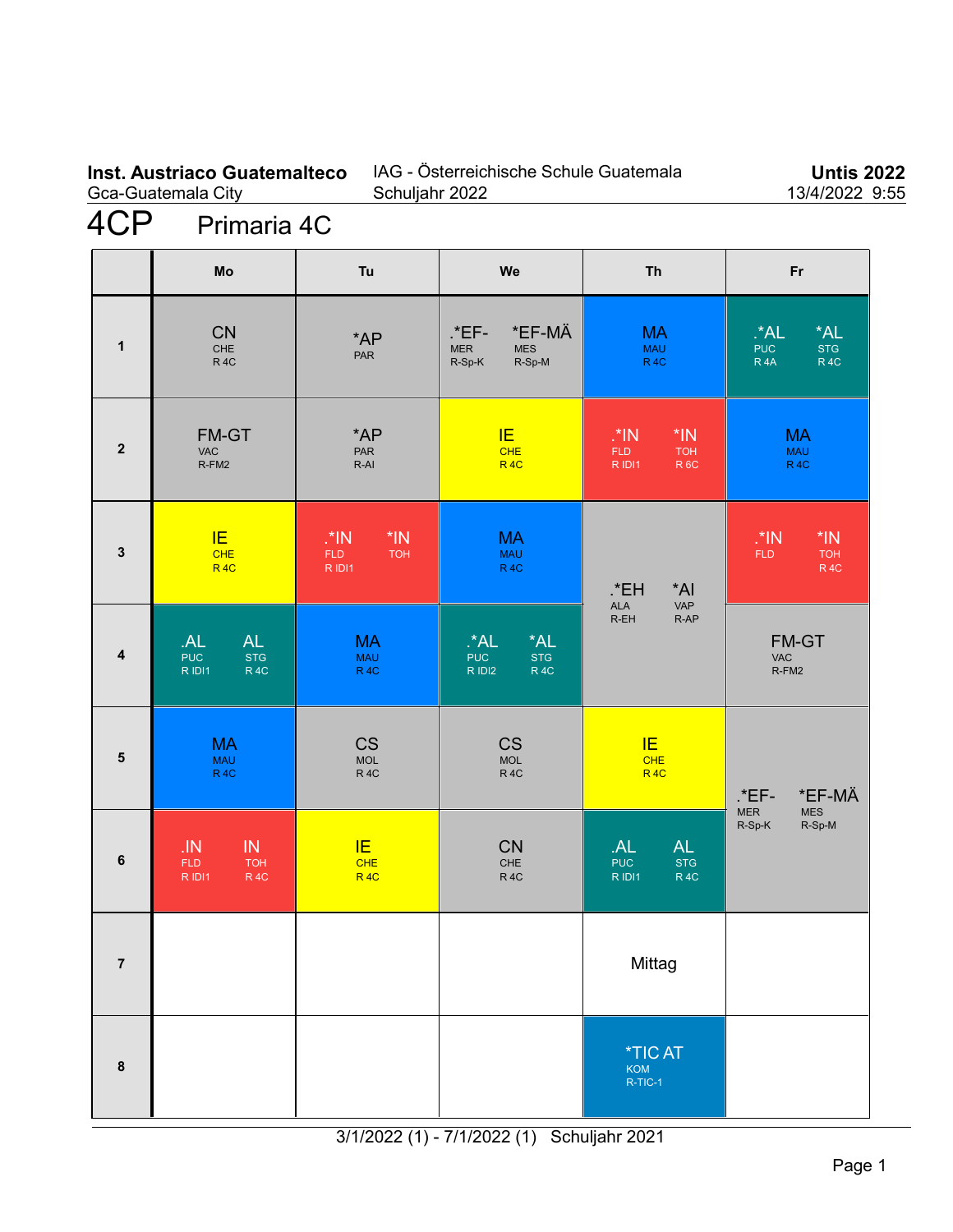#### **Inst. Austriaco Guatemalteco** Gca-Guatemala City

## IAG - Österreichische Schule Guatemala Schuljahr 2022

**Untis 2022** 13/4/2022 9:55

# 4CP Primaria 4C

|                         | Mo                                                                        | Tu                                                  | We                                                                      | <b>Th</b>                                                                 | Fr                                                                                |
|-------------------------|---------------------------------------------------------------------------|-----------------------------------------------------|-------------------------------------------------------------------------|---------------------------------------------------------------------------|-----------------------------------------------------------------------------------|
| $\mathbf{1}$            | <b>CN</b><br>CHE<br><b>R4C</b>                                            | $*AP$<br>PAR                                        | *EF-MÄ<br>.*EF-<br>MER<br><b>MES</b><br>R-Sp-M<br>R-Sp-K                | <b>MA</b><br><b>MAU</b><br>R <sub>4C</sub>                                | $^*$ AL<br>*AL<br><b>STG</b><br><b>PUC</b><br>R <sub>4</sub> A<br>R <sub>4C</sub> |
| $\overline{2}$          | FM-GT<br><b>VAC</b><br>R-FM2                                              | $*AP$<br><b>PAR</b><br>$R-AI$                       | IE.<br><b>CHE</b><br>R <sub>4C</sub>                                    | $^*$ IN<br>$*IN$<br><b>FLD</b><br><b>TOH</b><br>R IDI1<br>R <sub>6C</sub> | <b>MA</b><br><b>MAU</b><br>R <sub>4C</sub>                                        |
| $\mathbf{3}$            | IE.<br>CHE<br>R <sub>4C</sub>                                             | $\cdot$ *IN<br>$*IN$<br>FLD<br><b>TOH</b><br>R IDI1 | <b>MA</b><br><b>MAU</b><br>R <sub>4C</sub>                              | .*EH<br>*AI<br>VAP<br><b>ALA</b><br>R-AP<br>$R$ -EH                       | $*IN$<br>$M^*$ .<br><b>FLD</b><br><b>TOH</b><br><b>R4C</b>                        |
| $\overline{4}$          | <b>AL</b><br>.AL<br><b>PUC</b><br><b>STG</b><br>R <sub>4C</sub><br>R IDI1 | <b>MA</b><br><b>MAU</b><br><b>R4C</b>               | *AL<br>$A^*$ .<br><b>PUC</b><br><b>STG</b><br>R IDI2<br>R <sub>4C</sub> |                                                                           | FM-GT<br><b>VAC</b><br>R-FM2                                                      |
| $\overline{\mathbf{5}}$ | <b>MA</b><br><b>MAU</b><br><b>R4C</b>                                     | <b>CS</b><br>MOL<br><b>R4C</b>                      | <b>CS</b><br><b>MOL</b><br><b>R4C</b>                                   | IE<br>CHE<br>R <sub>4C</sub>                                              | *EF-MÄ<br>$*$ EF-                                                                 |
| $\bf 6$                 | IN<br>.1N<br><b>FLD</b><br><b>TOH</b><br>R IDI1<br><b>R4C</b>             | IE<br><b>CHE</b><br>R <sub>4C</sub>                 | <b>CN</b><br>CHE<br>R <sub>4C</sub>                                     | <b>AL</b><br>AL<br><b>PUC</b><br><b>STG</b><br>R IDI1<br>R <sub>4C</sub>  | MER<br><b>MES</b><br>R-Sp-K<br>R-Sp-M                                             |
| $\overline{7}$          |                                                                           |                                                     |                                                                         | Mittag                                                                    |                                                                                   |
| $\pmb{8}$               |                                                                           |                                                     |                                                                         | <i><b>*TICAT</b></i><br>KOM<br>R-TIC-1                                    |                                                                                   |

3/1/2022 (1) - 7/1/2022 (1) Schuljahr 2021